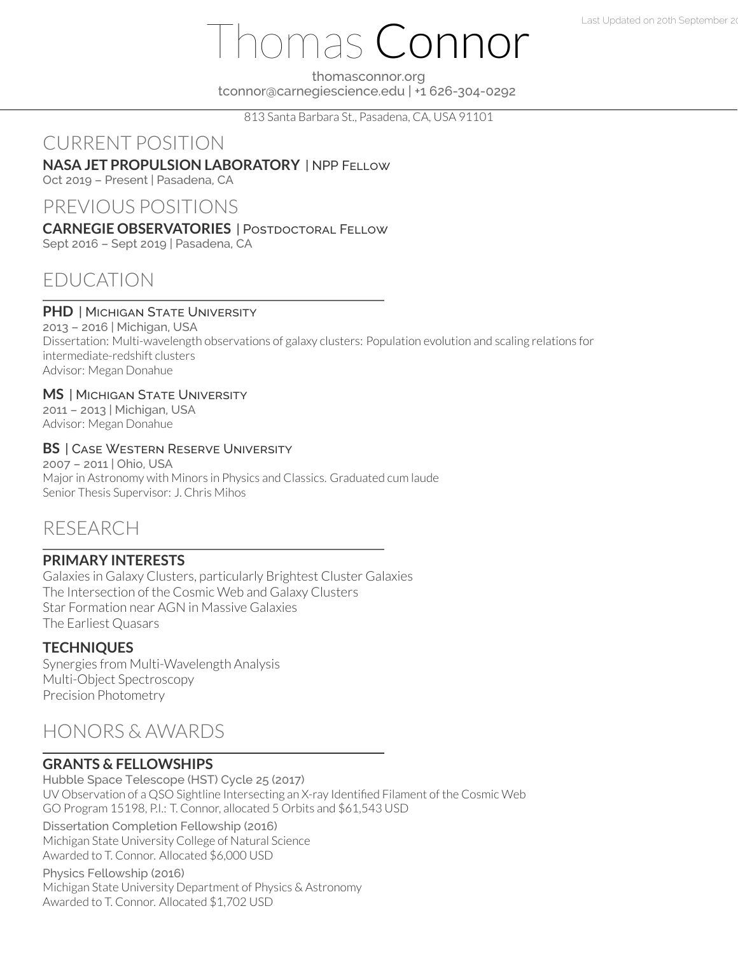# Last Updated on 20th September 2019 Thomas Connor Last Updated on 20th September 2019

<thomasconnor.org> tconnor@carnegiescience.edu | +1 626-304-0292

813 Santa Barbara St., Pasadena, CA, USA 91101

## CURRENT POSITION

## **NASA JET PROPULSION LABORATORY** | NPP FELLOW

Oct 2019 – Present | Pasadena, CA

## PREVIOUS POSITIONS

**CARNEGIE OBSERVATORIES** | POSTDOCTORAL FELLOW Sept 2016 – Sept 2019 | Pasadena, CA

# EDUCATION

#### **PHD** | MICHIGAN STATE UNIVERSITY

2013 – 2016 | Michigan, USA Dissertation: Multi-wavelength observations of galaxy clusters: Population evolution and scaling relations for intermediate-redshift clusters Advisor: Megan Donahue

#### **MS** | MICHIGAN STATE UNIVERSITY

2011 – 2013 | Michigan, USA Advisor: Megan Donahue

#### **BS** | CASE WESTERN RESERVE UNIVERSITY

2007 – 2011 | Ohio, USA Major in Astronomy with Minors in Physics and Classics. Graduated cum laude Senior Thesis Supervisor: J. Chris Mihos

## RESEARCH

## **PRIMARY INTERESTS**

Galaxies in Galaxy Clusters, particularly Brightest Cluster Galaxies The Intersection of the Cosmic Web and Galaxy Clusters Star Formation near AGN in Massive Galaxies The Earliest Quasars

## **TECHNIQUES**

Synergies from Multi-Wavelength Analysis Multi-Object Spectroscopy Precision Photometry

## HONORS & AWARDS

## **GRANTS & FELLOWSHIPS**

Hubble Space Telescope (HST) Cycle 25 (2017) UV Observation of a QSO Sightline Intersecting an X-ray Identified Filament of the Cosmic Web GO Program 15198, P.I.: T. Connor, allocated 5 Orbits and \$61,543 USD

Dissertation Completion Fellowship (2016) Michigan State University College of Natural Science Awarded to T. Connor. Allocated \$6,000 USD

Physics Fellowship (2016) Michigan State University Department of Physics & Astronomy Awarded to T. Connor. Allocated \$1,702 USD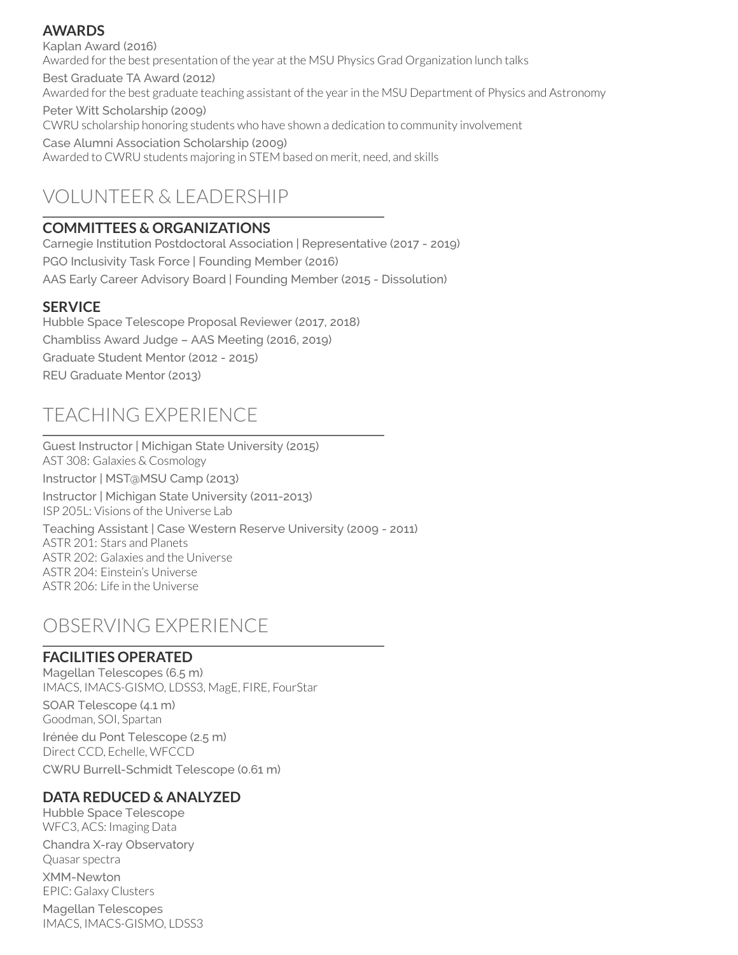## **AWARDS**

Kaplan Award (2016) Awarded for the best presentation of the year at the MSU Physics Grad Organization lunch talks Best Graduate TA Award (2012) Awarded for the best graduate teaching assistant of the year in the MSU Department of Physics and Astronomy Peter Witt Scholarship (2009) CWRU scholarship honoring students who have shown a dedication to community involvement Case Alumni Association Scholarship (2009) Awarded to CWRU students majoring in STEM based on merit, need, and skills

# VOLUNTEER & LEADERSHIP

## **COMMITTEES & ORGANIZATIONS**

Carnegie Institution Postdoctoral Association | Representative (2017 - 2019) PGO Inclusivity Task Force | Founding Member (2016) AAS Early Career Advisory Board | Founding Member (2015 - Dissolution)

## **SERVICE**

Hubble Space Telescope Proposal Reviewer (2017, 2018) Chambliss Award Judge – AAS Meeting (2016, 2019) Graduate Student Mentor (2012 - 2015) REU Graduate Mentor (2013)

# TEACHING EXPERIENCE

Guest Instructor | Michigan State University (2015) AST 308: Galaxies & Cosmology Instructor | MST@MSU Camp (2013) Instructor | Michigan State University (2011-2013) ISP 205L: Visions of the Universe Lab Teaching Assistant | Case Western Reserve University (2009 - 2011) ASTR 201: Stars and Planets ASTR 202: Galaxies and the Universe ASTR 204: Einstein's Universe ASTR 206: Life in the Universe

## OBSERVING EXPERIENCE

## **FACILITIES OPERATED**

Magellan Telescopes (6.5 m) IMACS, IMACS-GISMO, LDSS3, MagE, FIRE, FourStar SOAR Telescope (4.1 m) Goodman, SOI, Spartan Irénée du Pont Telescope (2.5 m) Direct CCD, Echelle, WFCCD CWRU Burrell-Schmidt Telescope (0.61 m)

## **DATA REDUCED & ANALYZED**

Hubble Space Telescope WFC3, ACS: Imaging Data Chandra X-ray Observatory Quasar spectra XMM-Newton EPIC: Galaxy Clusters Magellan Telescopes IMACS, IMACS-GISMO, LDSS3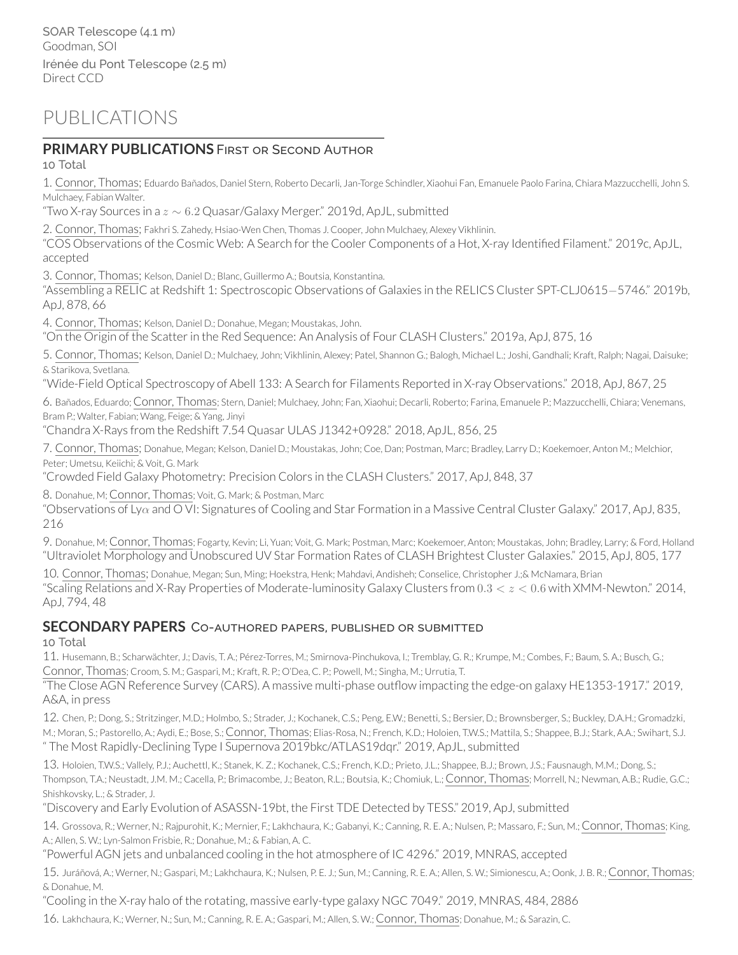SOAR Telescope (4.1 m) Goodman, SOI Irénée du Pont Telescope (2.5 m) Direct CCD

# PUBLICATIONS

## **PRIMARY PUBLICATIONS** FIRST OR SECOND AUTHOR

10 Total

1. Connor, Thomas; Eduardo Bañados, Daniel Stern, Roberto Decarli, Jan-Torge Schindler, Xiaohui Fan, Emanuele Paolo Farina, Chiara Mazzucchelli, John S. Mulchaey, Fabian Walter.

"Two X-ray Sources in a *z ∼* 6*.*2 Quasar/Galaxy Merger." 2019d, ApJL, submitted

2. Connor, Thomas; Fakhri S. Zahedy, Hsiao-Wen Chen, Thomas J. Cooper, John Mulchaey, Alexey Vikhlinin.

"COS Observations of the Cosmic Web: A Search for the Cooler Components of a Hot, X-ray Identified Filament." 2019c, ApJL, accepted

3. Connor, Thomas; Kelson, Daniel D.; Blanc, Guillermo A.; Boutsia, Konstantina.

"Assembling a RELIC at Redshift 1: Spectroscopic Observations of Galaxies in the RELICS Cluster SPT-CLJ0615*−*5746." 2019b, ApJ, 878, 66

4. Connor, Thomas; Kelson, Daniel D.; Donahue, Megan; Moustakas, John.

"On the Origin of the Scatterin the Red Sequence: An Analysis of Four CLASH Clusters." 2019a, ApJ, 875, 16

5. Connor, Thomas; Kelson, Daniel D.; Mulchaey, John; Vikhlinin, Alexey; Patel, Shannon G.; Balogh, Michael L.; Joshi, Gandhali; Kraft, Ralph; Nagai, Daisuke; & Starikova, Svetlana.

"Wide-Field Optical Spectroscopy of Abell 133: A Search for Filaments Reported in X-ray Observations." 2018, ApJ, 867, 25

6. Bañados, Eduardo; Connor, Thomas; Stern, Daniel; Mulchaey, John; Fan, Xiaohui; Decarli, Roberto; Farina, Emanuele P.; Mazzucchelli, Chiara; Venemans, Bram P.; Walter, Fabian; Wang, Feige; & Yang, Jinyi

"Chandra X-Rays from the Redshift 7.54 Quasar ULAS J1342+0928." 2018, ApJL, 856, 25

7. Connor, Thomas; Donahue, Megan; Kelson, Daniel D.; Moustakas, John; Coe, Dan; Postman, Marc; Bradley, Larry D.; Koekemoer, Anton M.; Melchior, Peter; Umetsu, Keiichi; & Voit, G. Mark

"Crowded Field Galaxy Photometry: Precision Colors in the CLASH Clusters." 2017, ApJ, 848, 37

8. Donahue, M; Connor, Thomas; Voit, G. Mark; & Postman, Marc

"Observations of Ly*α* and O VI: Signatures of Cooling and Star Formation in a Massive Central Cluster Galaxy." 2017, ApJ, 835, 216

9. Donahue, M; Connor, Thomas; Fogarty, Kevin; Li, Yuan; Voit, G. Mark; Postman, Marc; Koekemoer, Anton; Moustakas, John; Bradley, Larry; & Ford, Holland "Ultraviolet Morphology and Unobscured UV Star Formation Rates of CLASH Brightest Cluster Galaxies." 2015, ApJ, 805, 177

10. Connor, Thomas; Donahue, Megan; Sun, Ming; Hoekstra, Henk; Mahdavi, Andisheh; Conselice, Christopher J.;& McNamara, Brian "Scaling Relations and X-Ray Properties of Moderate-luminosity Galaxy Clusters from 0*.*3 *< z <* 0*.*6 with XMM-Newton." 2014, ApJ, 794, 48

## **SECONDARY PAPERS** CO-AUTHORED PAPERS, PUBLISHED OR SUBMITTED

10 Total

11. Husemann, B.; Scharwächter, J.; Davis, T. A.; Pérez-Torres, M.; Smirnova-Pinchukova, I.; Tremblay, G. R.; Krumpe, M.; Combes, F.; Baum, S. A.; Busch, G.; Connor, Thomas; Croom, S. M.; Gaspari, M.; Kraft, R. P.; O'Dea, C. P.; Powell, M.; Singha, M.; Urrutia, T.

"The Close AGN Reference Survey (CARS). A massive multi-phase outflow impacting the edge-on galaxy HE1353-1917." 2019, A&A, in press

12. Chen, P.; Dong, S.; Stritzinger, M.D.; Holmbo, S.; Strader, J.; Kochanek, C.S.; Peng, E.W.; Benetti, S.; Bersier, D.; Brownsberger, S.; Buckley, D.A.H.; Gromadzki, M.; Moran, S.; Pastorello, A.; Aydi, E.; Bose, S.; Connor, Thomas; Elias-Rosa, N.; French, K.D.; Holoien, T.W.S.; Mattila, S.; Shappee, B.J.; Stark, A.A.; Swihart, S.J. " The Most Rapidly-Declining Type I Supernova 2019bkc/ATLAS19dqr." 2019, ApJL, submitted

13. Holoien, T.W.S.; Vallely, P.J.; Auchettl, K.; Stanek, K. Z.; Kochanek, C.S.; French, K.D.; Prieto, J.L.; Shappee, B.J.; Brown, J.S.; Fausnaugh, M.M.; Dong, S.; Thompson, T.A.; Neustadt, J.M. M.; Cacella, P.; Brimacombe, J.; Beaton, R.L.; Boutsia, K.; Chomiuk, L.; Connor, Thomas; Morrell, N.; Newman, A.B.; Rudie, G.C.; Shishkovsky, L.; & Strader, J.

"Discovery and Early Evolution of ASASSN-19bt, the First TDE Detected by TESS." 2019, ApJ, submitted

14. Grossova, R.; Werner, N.; Rajpurohit, K.; Mernier, F.; Lakhchaura, K.; Gabanyi, K.; Canning, R. E. A.; Nulsen, P.; Massaro, F.; Sun, M.; Connor, Thomas; King, A.; Allen, S. W.; Lyn-Salmon Frisbie, R.; Donahue, M.; & Fabian, A. C.

"Powerful AGN jets and unbalanced cooling in the hot atmosphere of IC 4296." 2019, MNRAS, accepted

15. Juráñová, A.; Werner, N.; Gaspari, M.; Lakhchaura, K.; Nulsen, P. E. J.; Sun, M.; Canning, R. E. A.; Allen, S. W.; Simionescu, A.; Oonk, J. B. R.; Connor, Thomas; & Donahue, M.

"Cooling in the X-ray halo of the rotating, massive early-type galaxy NGC 7049." 2019, MNRAS, 484, 2886

16. Lakhchaura, K.; Werner, N.; Sun, M.; Canning, R. E. A.; Gaspari, M.; Allen, S. W.; Connor, Thomas; Donahue, M.; & Sarazin, C.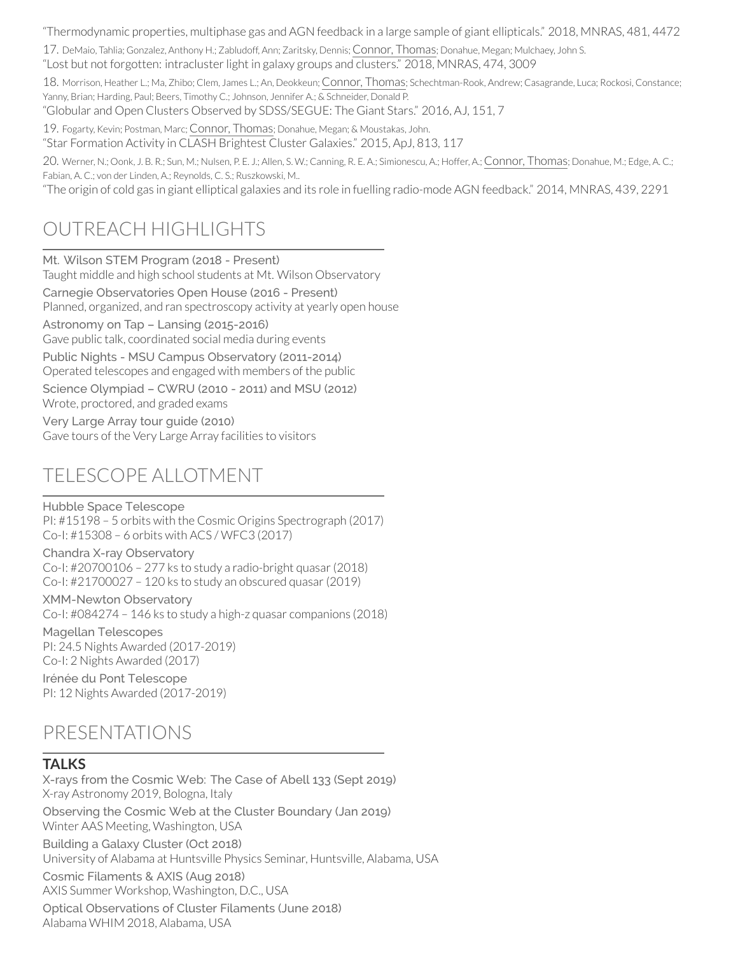"Thermodynamic properties, multiphase gas and AGN feedback in a large sample of giant ellipticals." 2018, MNRAS, 481, 4472

17. DeMaio, Tahlia; Gonzalez, Anthony H.; Zabludoff, Ann; Zaritsky, Dennis; Connor, Thomas; Donahue, Megan; Mulchaey, John S.

"Lost but not forgotten: intraclusterlight in galaxy groups and clusters." 2018, MNRAS, 474, 3009

18. Morrison, Heather L.; Ma, Zhibo; Clem, James L.; An, Deokkeun; Connor, Thomas; Schechtman-Rook, Andrew; Casagrande, Luca; Rockosi, Constance; Yanny, Brian; Harding, Paul; Beers, Timothy C.; Johnson, Jennifer A.; & Schneider, Donald P.

"Globular and Open Clusters Observed by SDSS/SEGUE: The Giant Stars." 2016, AJ, 151, 7

19. Fogarty, Kevin; Postman, Marc; Connor, Thomas; Donahue, Megan; & Moustakas, John.

"Star Formation Activity in CLASH Brightest Cluster Galaxies." 2015, ApJ, 813, 117

20. Werner, N.; Oonk, J. B. R.; Sun, M.; Nulsen, P. E. J.; Allen, S. W.; Canning, R. E. A.; Simionescu, A.; Hoffer, A.; Connor, Thomas; Donahue, M.; Edge, A. C.; Fabian, A. C.; von der Linden, A.; Reynolds, C. S.; Ruszkowski, M..

"The origin of cold gas in giant elliptical galaxies and its role in fuelling radio-mode AGN feedback." 2014, MNRAS, 439, 2291

# OUTREACH HIGHLIGHTS

Mt. Wilson STEM Program (2018 - Present) Taught middle and high school students at Mt. Wilson Observatory Carnegie Observatories Open House (2016 - Present) Planned, organized, and ran spectroscopy activity at yearly open house Astronomy on Tap – Lansing (2015-2016) Gave public talk, coordinated social media during events Public Nights - MSU Campus Observatory (2011-2014) Operated telescopes and engaged with members of the public Science Olympiad – CWRU (2010 - 2011) and MSU (2012) Wrote, proctored, and graded exams

Very Large Array tour guide (2010) Gave tours of the Very Large Array facilities to visitors

# TELESCOPE ALLOTMENT

Hubble Space Telescope PI: #15198 – 5 orbits with the Cosmic Origins Spectrograph (2017) Co-I: #15308 – 6 orbits with ACS / WFC3 (2017)

Chandra X-ray Observatory Co-I: #20700106 – 277 ks to study a radio-bright quasar(2018) Co-I: #21700027 – 120 ks to study an obscured quasar(2019)

XMM-Newton Observatory Co-I: #084274 – 146 ks to study a high-z quasar companions (2018)

Magellan Telescopes PI: 24.5 Nights Awarded (2017-2019) Co-I: 2 Nights Awarded (2017)

Irénée du Pont Telescope PI: 12 Nights Awarded (2017-2019)

## PRESENTATIONS

## **TALKS**

X-rays from the Cosmic Web: The Case of Abell 133 (Sept 2019) X-ray Astronomy 2019, Bologna, Italy Observing the Cosmic Web at the Cluster Boundary (Jan 2019) Winter AAS Meeting, Washington, USA Building a Galaxy Cluster (Oct 2018) University of Alabama at Huntsville Physics Seminar, Huntsville, Alabama, USA Cosmic Filaments & AXIS (Aug 2018) AXIS Summer Workshop, Washington, D.C., USA Optical Observations of Cluster Filaments (June 2018) Alabama WHIM 2018, Alabama, USA